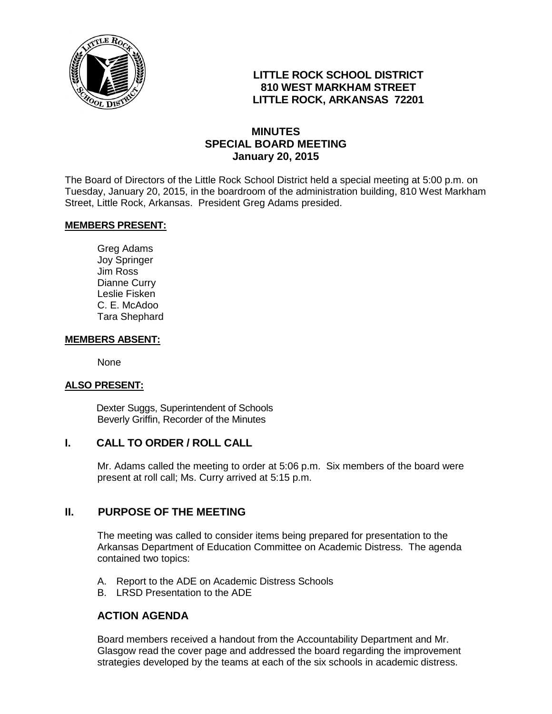

# **LITTLE ROCK SCHOOL DISTRICT 810 WEST MARKHAM STREET LITTLE ROCK, ARKANSAS 72201**

# **MINUTES SPECIAL BOARD MEETING January 20, 2015**

The Board of Directors of the Little Rock School District held a special meeting at 5:00 p.m. on Tuesday, January 20, 2015, in the boardroom of the administration building, 810 West Markham Street, Little Rock, Arkansas. President Greg Adams presided.

## **MEMBERS PRESENT:**

Greg Adams Joy Springer Jim Ross Dianne Curry Leslie Fisken C. E. McAdoo Tara Shephard

#### **MEMBERS ABSENT:**

None

#### **ALSO PRESENT:**

 Dexter Suggs, Superintendent of Schools Beverly Griffin, Recorder of the Minutes

## **I. CALL TO ORDER / ROLL CALL**

Mr. Adams called the meeting to order at 5:06 p.m. Six members of the board were present at roll call; Ms. Curry arrived at 5:15 p.m.

## **II. PURPOSE OF THE MEETING**

The meeting was called to consider items being prepared for presentation to the Arkansas Department of Education Committee on Academic Distress. The agenda contained two topics:

- A. Report to the ADE on Academic Distress Schools
- B. LRSD Presentation to the ADE

# **ACTION AGENDA**

Board members received a handout from the Accountability Department and Mr. Glasgow read the cover page and addressed the board regarding the improvement strategies developed by the teams at each of the six schools in academic distress.